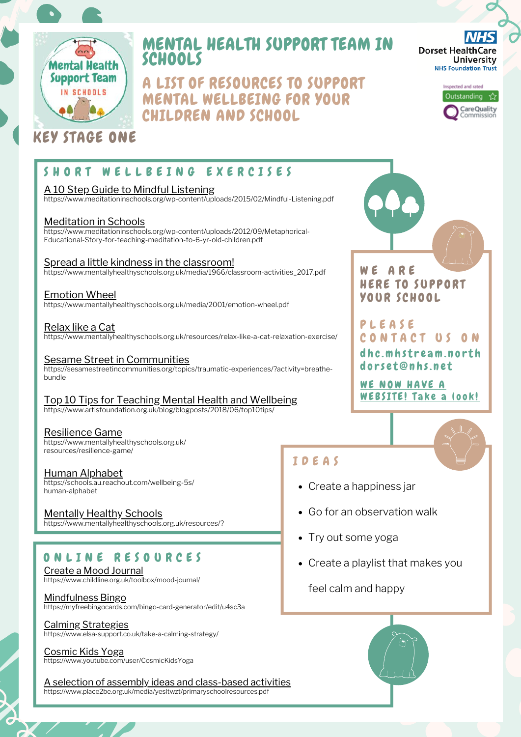

# MENTAL HEALTH SUPPORT TEAM IN SCHOOLS

## A LIST OF RESOURCES TO SUPPORT MENTAL WELLBEING FOR YOUR CHILDREN AND SCHOOL

#### **NHS Dorset HealthCare** University **NHS Foundation Trust**



## S H O R T W E L L B E I N G E X E R C I S E S

### A 10 Step Guide to Mindful [Listening](https://www.meditationinschools.org/wp-content/uploads/2015/02/Mindful-Listening.pdf)

https://www.meditationinschools.org/wp-content/uploads/2015/02/Mindful-Listening.pdf

### [Meditation](https://www.meditationinschools.org/wp-content/uploads/2012/09/Metaphorical-Educational-Story-for-teaching-meditation-to-6-yr-old-children.pdf) in Schools

https://www.meditationinschools.org/wp-content/uploads/2012/09/Metaphorical-Educational-Story-for-teaching-meditation-to-6-yr-old-children.pdf

### Spread a little kindness in the classroom!

https://www.mentallyhealthyschools.org.uk/media/1966/classroom-activities\_2017.pdf

### [Emotion](https://www.mentallyhealthyschools.org.uk/media/2001/emotion-wheel.pdf) Wheel

https://www.mentallyhealthyschools.org.uk/media/2001/emotion-wheel.pdf

### [Relax](https://www.mentallyhealthyschools.org.uk/resources/relax-like-a-cat-relaxation-exercise/) like a Cat

https://www.mentallyhealthyschools.org.uk/resources/relax-like-a-cat-relaxation-exercise/

### Sesame Street in [Communities](https://sesamestreetincommunities.org/topics/traumatic-experiences/)

https://sesamestreetincommunities.org/topics/traumatic-experiences/?activity=breathebundle

#### Top 10 Tips for Teaching Mental Health and [Wellbeing](https://www.artisfoundation.org.uk/blog/blogposts/2018/06/top10tips/) https://www.artisfoundation.org.uk/blog/blogposts/2018/06/top10tips/

## [Resilience](https://www.mentallyhealthyschools.org.uk/resources/resilience-game/) Game

https://www.mentallyhealthyschools.org.uk/ resources/resilience-game/

### Human [Alphabet](https://schools.au.reachout.com/wellbeing-5s/human-alphabet)

https://schools.au.reachout.com/wellbeing-5s/ human-alphabet

#### [Mentally](https://www.mentallyhealthyschools.org.uk/resources/) Healthy Schools https://www.mentallyhealthyschools.org.uk/resources/?

## O N L I N E R E S [O](https://www.childline.org.uk/toolbox/mood-journal/) U R C E S

Create a Mood [Journal](https://www.childline.org.uk/toolbox/mood-journal/) https://www.childline.org.uk/toolbox/mood-journal/

<u>[Mindfulness](https://myfreebingocards.com/bingo-card-generator/edit/u4sc3a) Bingo</u> https://myfreebingocards.com/bingo-card-generator/edit/u4sc3a

Calming [Strategies](https://www.elsa-support.co.uk/take-a-calming-strategy/) https://www.elsa-support.co.uk/take-a-calming-strategy/

[Cosmic](https://www.youtube.com/user/CosmicKidsYoga) Kids Yoga https://www.youtube.com/user/CosmicKidsYoga

A selection of assembly ideas and [class-based](https://www.place2be.org.uk/media/yesltwzt/primaryschoolresources.pdf) activities https://www.place2be.org.uk/media/yesltwzt/primaryschoolresources.pdf

## I D E A S

- Create a happiness jar
- Go for an observation walk
- Try out some yoga
- Create a playlist that makes you

W E A R E

P L E A S E

HERE TO SUPPORT

CONTACT US ON dhc.mhstream.north

WEBSITE! Take a look!

dorset@nhs.net

WE [NOW](https://camhsdorset.org/about-camhs/mental-health-support-teams-mhsts) HAVE A

YOUR SCHOOL

feel calm and happy